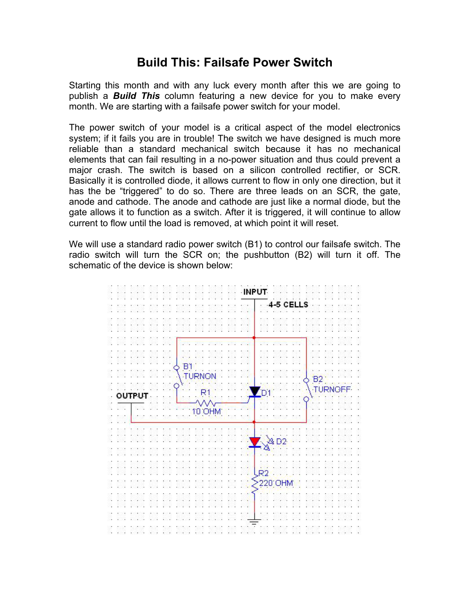## **Build This: Failsafe Power Switch**

Starting this month and with any luck every month after this we are going to publish a *Build This* column featuring a new device for you to make every month. We are starting with a failsafe power switch for your model.

The power switch of your model is a critical aspect of the model electronics system; if it fails you are in trouble! The switch we have designed is much more reliable than a standard mechanical switch because it has no mechanical elements that can fail resulting in a no-power situation and thus could prevent a major crash. The switch is based on a silicon controlled rectifier, or SCR. Basically it is controlled diode, it allows current to flow in only one direction, but it has the be "triggered" to do so. There are three leads on an SCR, the gate, anode and cathode. The anode and cathode are just like a normal diode, but the gate allows it to function as a switch. After it is triggered, it will continue to allow current to flow until the load is removed, at which point it will reset.

We will use a standard radio power switch (B1) to control our failsafe switch. The radio switch will turn the SCR on; the pushbutton (B2) will turn it off. The schematic of the device is shown below:

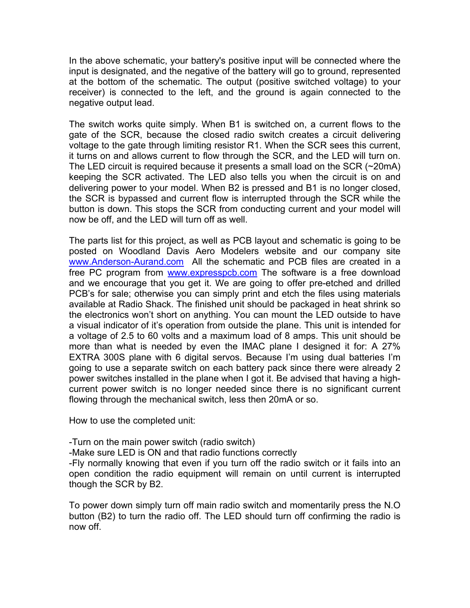In the above schematic, your battery's positive input will be connected where the input is designated, and the negative of the battery will go to ground, represented at the bottom of the schematic. The output (positive switched voltage) to your receiver) is connected to the left, and the ground is again connected to the negative output lead.

The switch works quite simply. When B1 is switched on, a current flows to the gate of the SCR, because the closed radio switch creates a circuit delivering voltage to the gate through limiting resistor R1. When the SCR sees this current, it turns on and allows current to flow through the SCR, and the LED will turn on. The LED circuit is required because it presents a small load on the SCR (~20mA) keeping the SCR activated. The LED also tells you when the circuit is on and delivering power to your model. When B2 is pressed and B1 is no longer closed, the SCR is bypassed and current flow is interrupted through the SCR while the button is down. This stops the SCR from conducting current and your model will now be off, and the LED will turn off as well.

The parts list for this project, as well as PCB layout and schematic is going to be posted on Woodland Davis Aero Modelers website and our company site www.Anderson-Aurand.com All the schematic and PCB files are created in a free PC program from www.expresspcb.com The software is a free download and we encourage that you get it. We are going to offer pre-etched and drilled PCB's for sale; otherwise you can simply print and etch the files using materials available at Radio Shack. The finished unit should be packaged in heat shrink so the electronics won't short on anything. You can mount the LED outside to have a visual indicator of it's operation from outside the plane. This unit is intended for a voltage of 2.5 to 60 volts and a maximum load of 8 amps. This unit should be more than what is needed by even the IMAC plane I designed it for: A 27% EXTRA 300S plane with 6 digital servos. Because I'm using dual batteries I'm going to use a separate switch on each battery pack since there were already 2 power switches installed in the plane when I got it. Be advised that having a highcurrent power switch is no longer needed since there is no significant current flowing through the mechanical switch, less then 20mA or so.

How to use the completed unit:

-Turn on the main power switch (radio switch)

-Make sure LED is ON and that radio functions correctly

-Fly normally knowing that even if you turn off the radio switch or it fails into an open condition the radio equipment will remain on until current is interrupted though the SCR by B2.

To power down simply turn off main radio switch and momentarily press the N.O button (B2) to turn the radio off. The LED should turn off confirming the radio is now off.